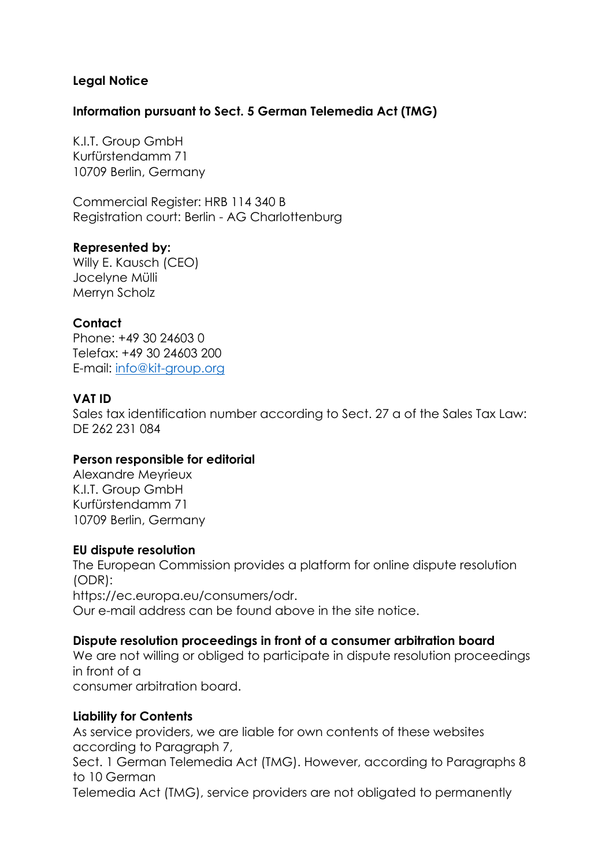# **Legal Notice**

### **Information pursuant to Sect. 5 German Telemedia Act (TMG)**

K.I.T. Group GmbH Kurfürstendamm 71 10709 Berlin, Germany

Commercial Register: HRB 114 340 B Registration court: Berlin - AG Charlottenburg

### **Represented by:**

Willy E. Kausch (CEO) Jocelyne Mülli Merryn Scholz

# **Contact**

Phone: +49 30 24603 0 Telefax: +49 30 24603 200 E-mail: [info@kit-group.org](mailto:info@kit-group.org)

# **VAT ID**

Sales tax identification number according to Sect. 27 a of the Sales Tax Law: DE 262 231 084

### **Person responsible for editorial**

Alexandre Meyrieux K.I.T. Group GmbH Kurfürstendamm 71 10709 Berlin, Germany

### **EU dispute resolution**

The European Commission provides a platform for online dispute resolution (ODR): https://ec.europa.eu/consumers/odr. Our e-mail address can be found above in the site notice.

### **Dispute resolution proceedings in front of a consumer arbitration board**

We are not willing or obliged to participate in dispute resolution proceedings in front of a consumer arbitration board.

### **Liability for Contents**

As service providers, we are liable for own contents of these websites according to Paragraph 7,

Sect. 1 German Telemedia Act (TMG). However, according to Paragraphs 8 to 10 German

Telemedia Act (TMG), service providers are not obligated to permanently